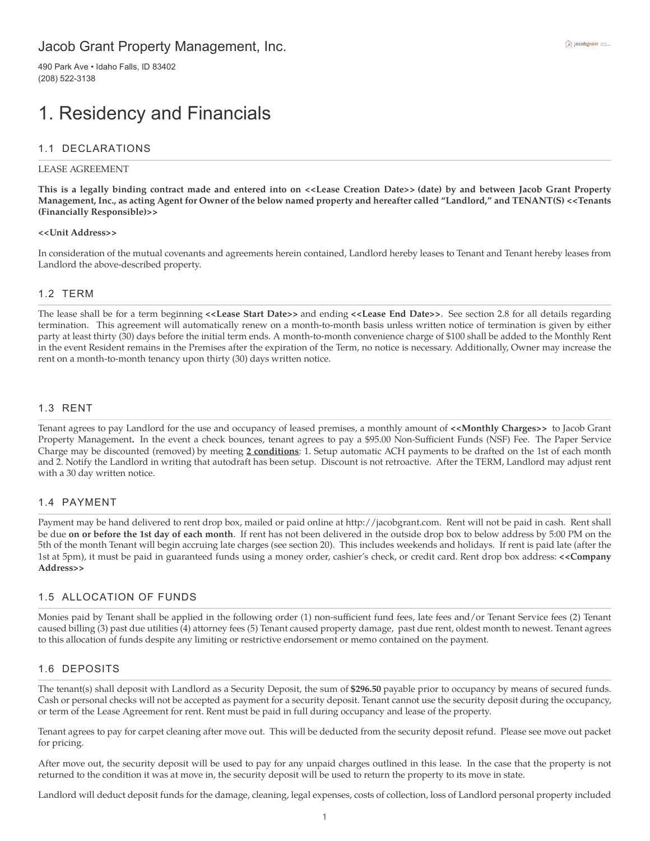# Jacob Grant Property Management, Inc.

490 Park Ave • Idaho Falls, ID 83402 (208) 522-3138

# 1. Residency and Financials

### 1.1 DECLARATIONS

#### LEASE AGREEMENT

**This is a legally binding contract made and entered into on <<Lease Creation Date>> (date) by and between Jacob Grant Property Management, Inc., as acting Agent for Owner of the below named property and hereafter called "Landlord," and TENANT(S) <<Tenants (Financially Responsible)>>**

#### **<<Unit Address>>**

In consideration of the mutual covenants and agreements herein contained, Landlord hereby leases to Tenant and Tenant hereby leases from Landlord the above-described property.

#### 1.2 TERM

The lease shall be for a term beginning **<<Lease Start Date>>** and ending **<<Lease End Date>>**. See section 2.8 for all details regarding termination. This agreement will automatically renew on a month-to-month basis unless written notice of termination is given by either party at least thirty (30) days before the initial term ends. A month-to-month convenience charge of \$100 shall be added to the Monthly Rent in the event Resident remains in the Premises after the expiration of the Term, no notice is necessary. Additionally, Owner may increase the rent on a month-to-month tenancy upon thirty (30) days written notice.

#### 1.3 RENT

Tenant agrees to pay Landlord for the use and occupancy of leased premises, a monthly amount of **<<Monthly Charges>>** to Jacob Grant Property Management**.** In the event a check bounces, tenant agrees to pay a \$95.00 Non-Sufficient Funds (NSF) Fee. The Paper Service Charge may be discounted (removed) by meeting **2 conditions**: 1. Setup automatic ACH payments to be drafted on the 1st of each month and 2. Notify the Landlord in writing that autodraft has been setup. Discount is not retroactive. After the TERM, Landlord may adjust rent with a 30 day written notice.

#### 1.4 PAYMENT

Payment may be hand delivered to rent drop box, mailed or paid online at http://jacobgrant.com. Rent will not be paid in cash. Rent shall be due **on or before the 1st day of each month**. If rent has not been delivered in the outside drop box to below address by 5:00 PM on the 5th of the month Tenant will begin accruing late charges (see section 20). This includes weekends and holidays. If rent is paid late (after the 1st at 5pm), it must be paid in guaranteed funds using a money order, cashier's check, or credit card. Rent drop box address: **<<Company Address>>**

#### 1.5 ALLOCATION OF FUNDS

Monies paid by Tenant shall be applied in the following order (1) non-sufficient fund fees, late fees and/or Tenant Service fees (2) Tenant caused billing (3) past due utilities (4) attorney fees (5) Tenant caused property damage, past due rent, oldest month to newest. Tenant agrees to this allocation of funds despite any limiting or restrictive endorsement or memo contained on the payment.

#### 1.6 DEPOSITS

The tenant(s) shall deposit with Landlord as a Security Deposit, the sum of **\$296.50** payable prior to occupancy by means of secured funds. Cash or personal checks will not be accepted as payment for a security deposit. Tenant cannot use the security deposit during the occupancy, or term of the Lease Agreement for rent. Rent must be paid in full during occupancy and lease of the property.

Tenant agrees to pay for carpet cleaning after move out. This will be deducted from the security deposit refund. Please see move out packet for pricing.

After move out, the security deposit will be used to pay for any unpaid charges outlined in this lease. In the case that the property is not returned to the condition it was at move in, the security deposit will be used to return the property to its move in state.

Landlord will deduct deposit funds for the damage, cleaning, legal expenses, costs of collection, loss of Landlord personal property included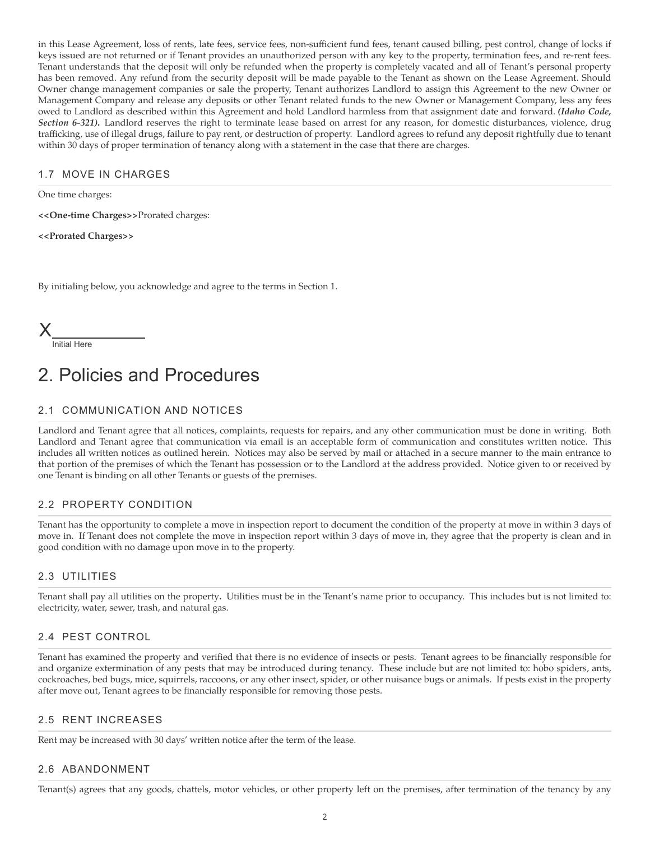in this Lease Agreement, loss of rents, late fees, service fees, non-sufficient fund fees, tenant caused billing, pest control, change of locks if keys issued are not returned or if Tenant provides an unauthorized person with any key to the property, termination fees, and re-rent fees. Tenant understands that the deposit will only be refunded when the property is completely vacated and all of Tenant's personal property has been removed. Any refund from the security deposit will be made payable to the Tenant as shown on the Lease Agreement. Should Owner change management companies or sale the property, Tenant authorizes Landlord to assign this Agreement to the new Owner or Management Company and release any deposits or other Tenant related funds to the new Owner or Management Company, less any fees owed to Landlord as described within this Agreement and hold Landlord harmless from that assignment date and forward. *(Idaho Code, Section 6-321)***.** Landlord reserves the right to terminate lease based on arrest for any reason, for domestic disturbances, violence, drug trafficking, use of illegal drugs, failure to pay rent, or destruction of property. Landlord agrees to refund any deposit rightfully due to tenant within 30 days of proper termination of tenancy along with a statement in the case that there are charges.

## 1.7 MOVE IN CHARGES

One time charges:

**<<One-time Charges>>**Prorated charges:

**<<Prorated Charges>>**

By initialing below, you acknowledge and agree to the terms in Section 1.

X

Initial Here

# 2. Policies and Procedures

## 2.1 COMMUNICATION AND NOTICES

Landlord and Tenant agree that all notices, complaints, requests for repairs, and any other communication must be done in writing. Both Landlord and Tenant agree that communication via email is an acceptable form of communication and constitutes written notice. This includes all written notices as outlined herein. Notices may also be served by mail or attached in a secure manner to the main entrance to that portion of the premises of which the Tenant has possession or to the Landlord at the address provided. Notice given to or received by one Tenant is binding on all other Tenants or guests of the premises.

## 2.2 PROPERTY CONDITION

Tenant has the opportunity to complete a move in inspection report to document the condition of the property at move in within 3 days of move in. If Tenant does not complete the move in inspection report within 3 days of move in, they agree that the property is clean and in good condition with no damage upon move in to the property.

## 2.3 UTILITIES

Tenant shall pay all utilities on the property**.** Utilities must be in the Tenant's name prior to occupancy. This includes but is not limited to: electricity, water, sewer, trash, and natural gas.

## 2.4 PEST CONTROL

Tenant has examined the property and verified that there is no evidence of insects or pests. Tenant agrees to be financially responsible for and organize extermination of any pests that may be introduced during tenancy. These include but are not limited to: hobo spiders, ants, cockroaches, bed bugs, mice, squirrels, raccoons, or any other insect, spider, or other nuisance bugs or animals. If pests exist in the property after move out, Tenant agrees to be financially responsible for removing those pests.

## 2.5 RENT INCREASES

Rent may be increased with 30 days' written notice after the term of the lease.

#### 2.6 ABANDONMENT

Tenant(s) agrees that any goods, chattels, motor vehicles, or other property left on the premises, after termination of the tenancy by any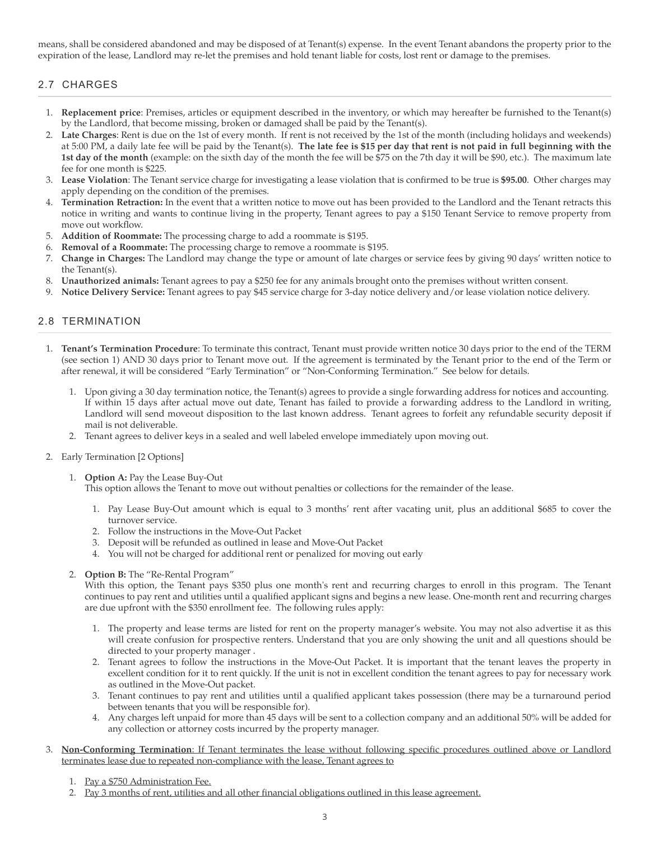means, shall be considered abandoned and may be disposed of at Tenant(s) expense. In the event Tenant abandons the property prior to the expiration of the lease, Landlord may re-let the premises and hold tenant liable for costs, lost rent or damage to the premises.

# 2.7 CHARGES

- 1. **Replacement price**: Premises, articles or equipment described in the inventory, or which may hereafter be furnished to the Tenant(s) by the Landlord, that become missing, broken or damaged shall be paid by the Tenant(s).
- 2. **Late Charges**: Rent is due on the 1st of every month. If rent is not received by the 1st of the month (including holidays and weekends) at 5:00 PM, a daily late fee will be paid by the Tenant(s). **The late fee is \$15 per day that rent is not paid in full beginning with the 1st day of the month** (example: on the sixth day of the month the fee will be \$75 on the 7th day it will be \$90, etc.). The maximum late fee for one month is \$225.
- 3. **Lease Violation**: The Tenant service charge for investigating a lease violation that is confirmed to be true is **\$95.00**. Other charges may apply depending on the condition of the premises.
- 4. **Termination Retraction:** In the event that a written notice to move out has been provided to the Landlord and the Tenant retracts this notice in writing and wants to continue living in the property, Tenant agrees to pay a \$150 Tenant Service to remove property from move out workflow.
- 5. **Addition of Roommate:** The processing charge to add a roommate is \$195.
- 6. **Removal of a Roommate:** The processing charge to remove a roommate is \$195.
- 7. **Change in Charges:** The Landlord may change the type or amount of late charges or service fees by giving 90 days' written notice to the Tenant(s).
- 8. **Unauthorized animals:** Tenant agrees to pay a \$250 fee for any animals brought onto the premises without written consent.
- 9. **Notice Delivery Service:** Tenant agrees to pay \$45 service charge for 3-day notice delivery and/or lease violation notice delivery.

## 2.8 TERMINATION

- 1. **Tenant's Termination Procedure**: To terminate this contract, Tenant must provide written notice 30 days prior to the end of the TERM (see section 1) AND 30 days prior to Tenant move out. If the agreement is terminated by the Tenant prior to the end of the Term or after renewal, it will be considered "Early Termination" or "Non-Conforming Termination." See below for details.
	- 1. Upon giving a 30 day termination notice, the Tenant(s) agrees to provide a single forwarding address for notices and accounting. If within 15 days after actual move out date, Tenant has failed to provide a forwarding address to the Landlord in writing, Landlord will send moveout disposition to the last known address. Tenant agrees to forfeit any refundable security deposit if mail is not deliverable.
	- 2. Tenant agrees to deliver keys in a sealed and well labeled envelope immediately upon moving out.
- 2. Early Termination [2 Options]
	- 1. **Option A:** Pay the Lease Buy-Out

This option allows the Tenant to move out without penalties or collections for the remainder of the lease.

- 1. Pay Lease Buy-Out amount which is equal to 3 months' rent after vacating unit, plus an additional \$685 to cover the turnover service.
- 2. Follow the instructions in the Move-Out Packet
- 3. Deposit will be refunded as outlined in lease and Move-Out Packet
- 4. You will not be charged for additional rent or penalized for moving out early
- 2. **Option B:** The "Re-Rental Program"

With this option, the Tenant pays \$350 plus one month's rent and recurring charges to enroll in this program. The Tenant continues to pay rent and utilities until a qualified applicant signs and begins a new lease. One-month rent and recurring charges are due upfront with the \$350 enrollment fee. The following rules apply:

- 1. The property and lease terms are listed for rent on the property manager's website. You may not also advertise it as this will create confusion for prospective renters. Understand that you are only showing the unit and all questions should be directed to your property manager .
- 2. Tenant agrees to follow the instructions in the Move-Out Packet. It is important that the tenant leaves the property in excellent condition for it to rent quickly. If the unit is not in excellent condition the tenant agrees to pay for necessary work as outlined in the Move-Out packet.
- 3. Tenant continues to pay rent and utilities until a qualified applicant takes possession (there may be a turnaround period between tenants that you will be responsible for).
- 4. Any charges left unpaid for more than 45 days will be sent to a collection company and an additional 50% will be added for any collection or attorney costs incurred by the property manager.
- 3. **Non-Conforming Termination**: If Tenant terminates the lease without following specific procedures outlined above or Landlord terminates lease due to repeated non-compliance with the lease, Tenant agrees to
	- 1. Pay a \$750 Administration Fee.
	- 2. Pay 3 months of rent, utilities and all other financial obligations outlined in this lease agreement.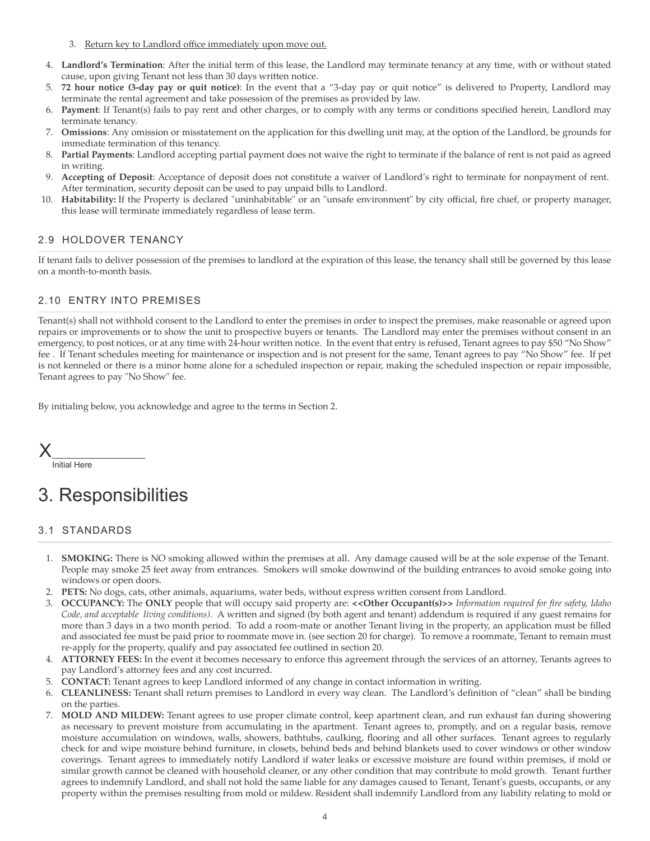- 3. Return key to Landlord office immediately upon move out.
- 4. **Landlord's Termination**: After the initial term of this lease, the Landlord may terminate tenancy at any time, with or without stated cause, upon giving Tenant not less than 30 days written notice.
- 5. **72 hour notice (3-day pay or quit notice)**: In the event that a "3-day pay or quit notice" is delivered to Property, Landlord may terminate the rental agreement and take possession of the premises as provided by law.
- 6. **Payment**: If Tenant(s) fails to pay rent and other charges, or to comply with any terms or conditions specified herein, Landlord may terminate tenancy.
- 7. **Omissions**: Any omission or misstatement on the application for this dwelling unit may, at the option of the Landlord, be grounds for immediate termination of this tenancy.
- 8. **Partial Payments**: Landlord accepting partial payment does not waive the right to terminate if the balance of rent is not paid as agreed in writing.
- 9. **Accepting of Deposit**: Acceptance of deposit does not constitute a waiver of Landlord's right to terminate for nonpayment of rent. After termination, security deposit can be used to pay unpaid bills to Landlord.
- 10. **Habitability:** If the Property is declared "uninhabitable" or an "unsafe environment" by city official, fire chief, or property manager, this lease will terminate immediately regardless of lease term.

## 2.9 HOLDOVER TENANCY

If tenant fails to deliver possession of the premises to landlord at the expiration of this lease, the tenancy shall still be governed by this lease on a month-to-month basis.

## 2.10 ENTRY INTO PREMISES

Tenant(s) shall not withhold consent to the Landlord to enter the premises in order to inspect the premises, make reasonable or agreed upon repairs or improvements or to show the unit to prospective buyers or tenants. The Landlord may enter the premises without consent in an emergency, to post notices, or at any time with 24-hour written notice. In the event that entry is refused, Tenant agrees to pay \$50 "No Show" fee . If Tenant schedules meeting for maintenance or inspection and is not present for the same, Tenant agrees to pay "No Show" fee. If pet is not kenneled or there is a minor home alone for a scheduled inspection or repair, making the scheduled inspection or repair impossible, Tenant agrees to pay "No Show" fee.

By initialing below, you acknowledge and agree to the terms in Section 2.

X

Initial Here

# 3. Responsibilities

## 3.1 STANDARDS

- 1. **SMOKING:** There is NO smoking allowed within the premises at all. Any damage caused will be at the sole expense of the Tenant. People may smoke 25 feet away from entrances. Smokers will smoke downwind of the building entrances to avoid smoke going into windows or open doors.
- 2. **PETS:** No dogs, cats, other animals, aquariums, water beds, without express written consent from Landlord.
- 3. **OCCUPANCY:** The **ONLY** people that will occupy said property are: **<<Other Occupant(s)>>** *Information required for fire safety, Idaho Code, and acceptable living conditions).* A written and signed (by both agent and tenant) addendum is required if any guest remains for more than 3 days in a two month period. To add a room-mate or another Tenant living in the property, an application must be filled and associated fee must be paid prior to roommate move in. (see section 20 for charge). To remove a roommate, Tenant to remain must re-apply for the property, qualify and pay associated fee outlined in section 20.
- 4. **ATTORNEY FEES:** In the event it becomes necessary to enforce this agreement through the services of an attorney, Tenants agrees to pay Landlord's attorney fees and any cost incurred.
- 5. **CONTACT:** Tenant agrees to keep Landlord informed of any change in contact information in writing.
- 6. **CLEANLINESS:** Tenant shall return premises to Landlord in every way clean. The Landlord's definition of "clean" shall be binding on the parties.
- 7. **MOLD AND MILDEW:** Tenant agrees to use proper climate control, keep apartment clean, and run exhaust fan during showering as necessary to prevent moisture from accumulating in the apartment. Tenant agrees to, promptly, and on a regular basis, remove moisture accumulation on windows, walls, showers, bathtubs, caulking, flooring and all other surfaces. Tenant agrees to regularly check for and wipe moisture behind furniture, in closets, behind beds and behind blankets used to cover windows or other window coverings. Tenant agrees to immediately notify Landlord if water leaks or excessive moisture are found within premises, if mold or similar growth cannot be cleaned with household cleaner, or any other condition that may contribute to mold growth. Tenant further agrees to indemnify Landlord, and shall not hold the same liable for any damages caused to Tenant, Tenant's guests, occupants, or any property within the premises resulting from mold or mildew. Resident shall indemnify Landlord from any liability relating to mold or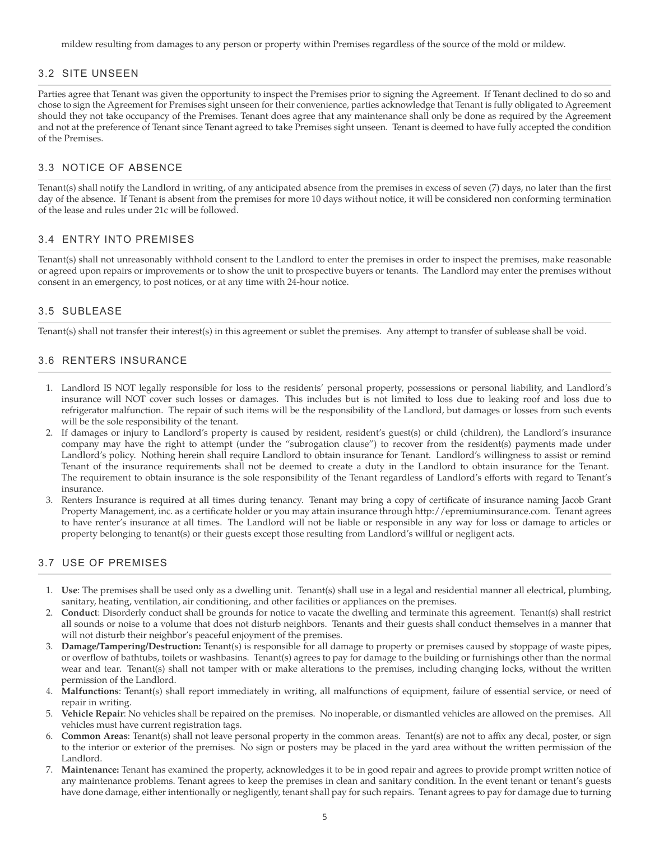mildew resulting from damages to any person or property within Premises regardless of the source of the mold or mildew.

## 3.2 SITE UNSEEN

Parties agree that Tenant was given the opportunity to inspect the Premises prior to signing the Agreement. If Tenant declined to do so and chose to sign the Agreement for Premises sight unseen for their convenience, parties acknowledge that Tenant is fully obligated to Agreement should they not take occupancy of the Premises. Tenant does agree that any maintenance shall only be done as required by the Agreement and not at the preference of Tenant since Tenant agreed to take Premises sight unseen. Tenant is deemed to have fully accepted the condition of the Premises.

## 3.3 NOTICE OF ABSENCE

Tenant(s) shall notify the Landlord in writing, of any anticipated absence from the premises in excess of seven (7) days, no later than the first day of the absence. If Tenant is absent from the premises for more 10 days without notice, it will be considered non conforming termination of the lease and rules under 21c will be followed.

## 3.4 ENTRY INTO PREMISES

Tenant(s) shall not unreasonably withhold consent to the Landlord to enter the premises in order to inspect the premises, make reasonable or agreed upon repairs or improvements or to show the unit to prospective buyers or tenants. The Landlord may enter the premises without consent in an emergency, to post notices, or at any time with 24-hour notice.

### 3.5 SUBLEASE

Tenant(s) shall not transfer their interest(s) in this agreement or sublet the premises. Any attempt to transfer of sublease shall be void.

## 3.6 RENTERS INSURANCE

- 1. Landlord IS NOT legally responsible for loss to the residents' personal property, possessions or personal liability, and Landlord's insurance will NOT cover such losses or damages. This includes but is not limited to loss due to leaking roof and loss due to refrigerator malfunction. The repair of such items will be the responsibility of the Landlord, but damages or losses from such events will be the sole responsibility of the tenant.
- 2. If damages or injury to Landlord's property is caused by resident, resident's guest(s) or child (children), the Landlord's insurance company may have the right to attempt (under the "subrogation clause") to recover from the resident(s) payments made under Landlord's policy. Nothing herein shall require Landlord to obtain insurance for Tenant. Landlord's willingness to assist or remind Tenant of the insurance requirements shall not be deemed to create a duty in the Landlord to obtain insurance for the Tenant. The requirement to obtain insurance is the sole responsibility of the Tenant regardless of Landlord's efforts with regard to Tenant's insurance.
- 3. Renters Insurance is required at all times during tenancy. Tenant may bring a copy of certificate of insurance naming Jacob Grant Property Management, inc. as a certificate holder or you may attain insurance through http://epremiuminsurance.com. Tenant agrees to have renter's insurance at all times. The Landlord will not be liable or responsible in any way for loss or damage to articles or property belonging to tenant(s) or their guests except those resulting from Landlord's willful or negligent acts.

## 3.7 USE OF PREMISES

- 1. **Use**: The premises shall be used only as a dwelling unit. Tenant(s) shall use in a legal and residential manner all electrical, plumbing, sanitary, heating, ventilation, air conditioning, and other facilities or appliances on the premises.
- 2. **Conduct**: Disorderly conduct shall be grounds for notice to vacate the dwelling and terminate this agreement. Tenant(s) shall restrict all sounds or noise to a volume that does not disturb neighbors. Tenants and their guests shall conduct themselves in a manner that will not disturb their neighbor's peaceful enjoyment of the premises.
- 3. **Damage/Tampering/Destruction:** Tenant(s) is responsible for all damage to property or premises caused by stoppage of waste pipes, or overflow of bathtubs, toilets or washbasins. Tenant(s) agrees to pay for damage to the building or furnishings other than the normal wear and tear. Tenant(s) shall not tamper with or make alterations to the premises, including changing locks, without the written permission of the Landlord.
- 4. **Malfunctions**: Tenant(s) shall report immediately in writing, all malfunctions of equipment, failure of essential service, or need of repair in writing.
- 5. **Vehicle Repair**: No vehicles shall be repaired on the premises. No inoperable, or dismantled vehicles are allowed on the premises. All vehicles must have current registration tags.
- 6. **Common Areas**: Tenant(s) shall not leave personal property in the common areas. Tenant(s) are not to affix any decal, poster, or sign to the interior or exterior of the premises. No sign or posters may be placed in the yard area without the written permission of the Landlord.
- 7. **Maintenance:** Tenant has examined the property, acknowledges it to be in good repair and agrees to provide prompt written notice of any maintenance problems. Tenant agrees to keep the premises in clean and sanitary condition. In the event tenant or tenant's guests have done damage, either intentionally or negligently, tenant shall pay for such repairs. Tenant agrees to pay for damage due to turning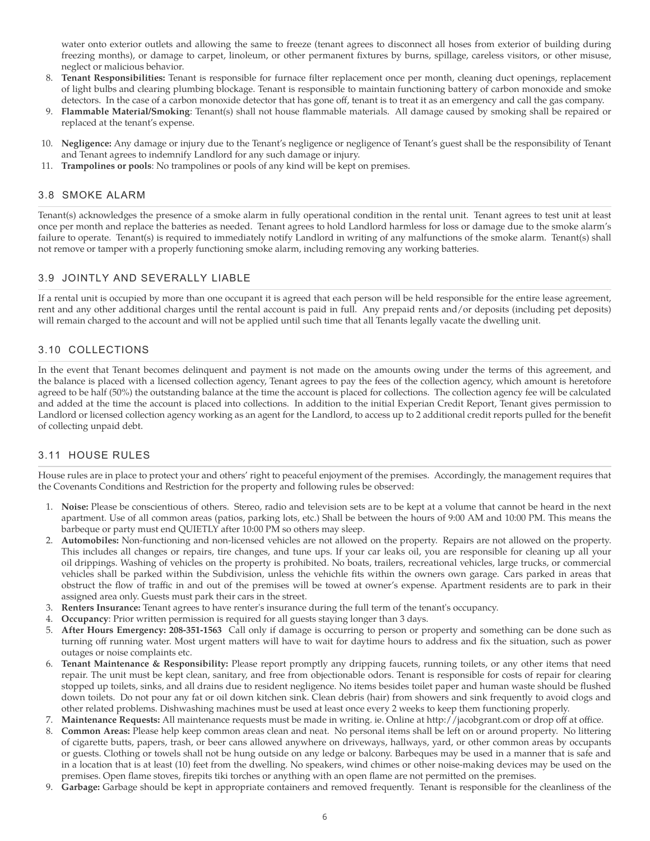water onto exterior outlets and allowing the same to freeze (tenant agrees to disconnect all hoses from exterior of building during freezing months), or damage to carpet, linoleum, or other permanent fixtures by burns, spillage, careless visitors, or other misuse, neglect or malicious behavior.

- 8. **Tenant Responsibilities:** Tenant is responsible for furnace filter replacement once per month, cleaning duct openings, replacement of light bulbs and clearing plumbing blockage. Tenant is responsible to maintain functioning battery of carbon monoxide and smoke detectors. In the case of a carbon monoxide detector that has gone off, tenant is to treat it as an emergency and call the gas company.
- 9. **Flammable Material/Smoking**: Tenant(s) shall not house flammable materials. All damage caused by smoking shall be repaired or replaced at the tenant's expense.
- 10. **Negligence:** Any damage or injury due to the Tenant's negligence or negligence of Tenant's guest shall be the responsibility of Tenant and Tenant agrees to indemnify Landlord for any such damage or injury.
- 11. **Trampolines or pools**: No trampolines or pools of any kind will be kept on premises.

### 3.8 SMOKE ALARM

Tenant(s) acknowledges the presence of a smoke alarm in fully operational condition in the rental unit. Tenant agrees to test unit at least once per month and replace the batteries as needed. Tenant agrees to hold Landlord harmless for loss or damage due to the smoke alarm's failure to operate. Tenant(s) is required to immediately notify Landlord in writing of any malfunctions of the smoke alarm. Tenant(s) shall not remove or tamper with a properly functioning smoke alarm, including removing any working batteries.

### 3.9 JOINTLY AND SEVERALLY LIABLE

If a rental unit is occupied by more than one occupant it is agreed that each person will be held responsible for the entire lease agreement, rent and any other additional charges until the rental account is paid in full. Any prepaid rents and/or deposits (including pet deposits) will remain charged to the account and will not be applied until such time that all Tenants legally vacate the dwelling unit.

## 3.10 COLLECTIONS

In the event that Tenant becomes delinquent and payment is not made on the amounts owing under the terms of this agreement, and the balance is placed with a licensed collection agency, Tenant agrees to pay the fees of the collection agency, which amount is heretofore agreed to be half (50%) the outstanding balance at the time the account is placed for collections. The collection agency fee will be calculated and added at the time the account is placed into collections. In addition to the initial Experian Credit Report, Tenant gives permission to Landlord or licensed collection agency working as an agent for the Landlord, to access up to 2 additional credit reports pulled for the benefit of collecting unpaid debt.

## 3.11 HOUSE RULES

House rules are in place to protect your and others' right to peaceful enjoyment of the premises. Accordingly, the management requires that the Covenants Conditions and Restriction for the property and following rules be observed:

- 1. **Noise:** Please be conscientious of others. Stereo, radio and television sets are to be kept at a volume that cannot be heard in the next apartment. Use of all common areas (patios, parking lots, etc.) Shall be between the hours of 9:00 AM and 10:00 PM. This means the barbeque or party must end QUIETLY after 10:00 PM so others may sleep.
- 2. **Automobiles:** Non-functioning and non-licensed vehicles are not allowed on the property. Repairs are not allowed on the property. This includes all changes or repairs, tire changes, and tune ups. If your car leaks oil, you are responsible for cleaning up all your oil drippings. Washing of vehicles on the property is prohibited. No boats, trailers, recreational vehicles, large trucks, or commercial vehicles shall be parked within the Subdivision, unless the vehichle fits within the owners own garage. Cars parked in areas that obstruct the flow of traffic in and out of the premises will be towed at owner's expense. Apartment residents are to park in their assigned area only. Guests must park their cars in the street.
- 3. **Renters Insurance:** Tenant agrees to have renter's insurance during the full term of the tenant's occupancy.
- 4. **Occupancy**: Prior written permission is required for all guests staying longer than 3 days.
- 5. **After Hours Emergency: 208-351-1563** Call only if damage is occurring to person or property and something can be done such as turning off running water. Most urgent matters will have to wait for daytime hours to address and fix the situation, such as power outages or noise complaints etc.
- 6. **Tenant Maintenance & Responsibility:** Please report promptly any dripping faucets, running toilets, or any other items that need repair. The unit must be kept clean, sanitary, and free from objectionable odors. Tenant is responsible for costs of repair for clearing stopped up toilets, sinks, and all drains due to resident negligence. No items besides toilet paper and human waste should be flushed down toilets. Do not pour any fat or oil down kitchen sink. Clean debris (hair) from showers and sink frequently to avoid clogs and other related problems. Dishwashing machines must be used at least once every 2 weeks to keep them functioning properly.
- 7. **Maintenance Requests:** All maintenance requests must be made in writing. ie. Online at http://jacobgrant.com or drop off at office.
- 8. **Common Areas:** Please help keep common areas clean and neat. No personal items shall be left on or around property. No littering of cigarette butts, papers, trash, or beer cans allowed anywhere on driveways, hallways, yard, or other common areas by occupants or guests. Clothing or towels shall not be hung outside on any ledge or balcony. Barbeques may be used in a manner that is safe and in a location that is at least (10) feet from the dwelling. No speakers, wind chimes or other noise-making devices may be used on the premises. Open flame stoves, firepits tiki torches or anything with an open flame are not permitted on the premises.
- 9. **Garbage:** Garbage should be kept in appropriate containers and removed frequently. Tenant is responsible for the cleanliness of the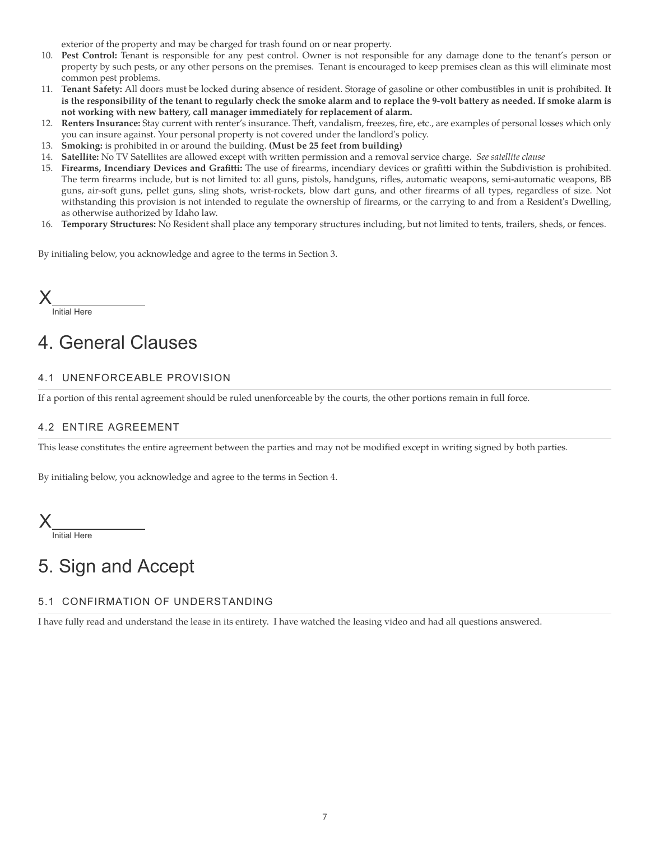exterior of the property and may be charged for trash found on or near property.

- 10. **Pest Control:** Tenant is responsible for any pest control. Owner is not responsible for any damage done to the tenant's person or property by such pests, or any other persons on the premises. Tenant is encouraged to keep premises clean as this will eliminate most common pest problems.
- 11. **Tenant Safety:** All doors must be locked during absence of resident. Storage of gasoline or other combustibles in unit is prohibited. **It is the responsibility of the tenant to regularly check the smoke alarm and to replace the 9-volt battery as needed. If smoke alarm is not working with new battery, call manager immediately for replacement of alarm.**
- 12. **Renters Insurance:** Stay current with renter's insurance. Theft, vandalism, freezes, fire, etc., are examples of personal losses which only you can insure against. Your personal property is not covered under the landlord's policy.
- 13. **Smoking:** is prohibited in or around the building. **(Must be 25 feet from building)**
- 14. **Satellite:** No TV Satellites are allowed except with written permission and a removal service charge. *See satellite clause*
- 15. **Firearms, Incendiary Devices and Grafitti:** The use of firearms, incendiary devices or grafitti within the Subdivistion is prohibited. The term firearms include, but is not limited to: all guns, pistols, handguns, rifles, automatic weapons, semi-automatic weapons, BB guns, air-soft guns, pellet guns, sling shots, wrist-rockets, blow dart guns, and other firearms of all types, regardless of size. Not withstanding this provision is not intended to regulate the ownership of firearms, or the carrying to and from a Resident's Dwelling, as otherwise authorized by Idaho law.
- 16. **Temporary Structures:** No Resident shall place any temporary structures including, but not limited to tents, trailers, sheds, or fences.

By initialing below, you acknowledge and agree to the terms in Section 3.

Initial Here X

# 4. General Clauses

## 4.1 UNENFORCEABLE PROVISION

If a portion of this rental agreement should be ruled unenforceable by the courts, the other portions remain in full force.

## 4.2 ENTIRE AGREEMENT

This lease constitutes the entire agreement between the parties and may not be modified except in writing signed by both parties.

By initialing below, you acknowledge and agree to the terms in Section 4.

Initial Here X

# 5. Sign and Accept

## 5.1 CONFIRMATION OF UNDERSTANDING

I have fully read and understand the lease in its entirety. I have watched the leasing video and had all questions answered.